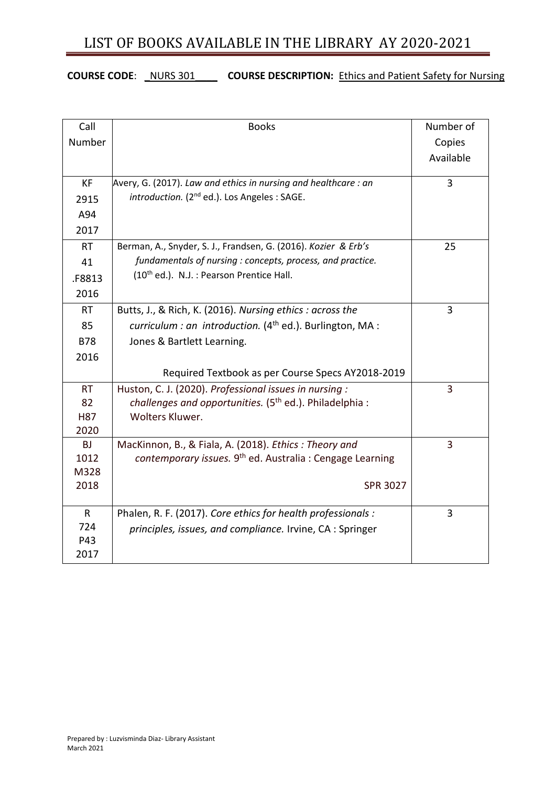## LIST OF BOOKS AVAILABLE IN THE LIBRARY AY 2020-2021

### **COURSE CODE**: \_NURS 301\_\_\_\_ **COURSE DESCRIPTION:** Ethics and Patient Safety for Nursing

| Call         | <b>Books</b>                                                         | Number of |
|--------------|----------------------------------------------------------------------|-----------|
| Number       |                                                                      | Copies    |
|              |                                                                      | Available |
|              |                                                                      |           |
| <b>KF</b>    | Avery, G. (2017). Law and ethics in nursing and healthcare: an       | 3         |
| 2915         | introduction. (2 <sup>nd</sup> ed.). Los Angeles : SAGE.             |           |
| A94          |                                                                      |           |
| 2017         |                                                                      |           |
| <b>RT</b>    | Berman, A., Snyder, S. J., Frandsen, G. (2016). Kozier & Erb's       | 25        |
| 41           | fundamentals of nursing : concepts, process, and practice.           |           |
| F8813        | (10 <sup>th</sup> ed.). N.J.: Pearson Prentice Hall.                 |           |
| 2016         |                                                                      |           |
| <b>RT</b>    | Butts, J., & Rich, K. (2016). Nursing ethics: across the             | 3         |
| 85           | curriculum : an introduction. $(4th$ ed.). Burlington, MA :          |           |
| <b>B78</b>   | Jones & Bartlett Learning.                                           |           |
| 2016         |                                                                      |           |
|              | Required Textbook as per Course Specs AY2018-2019                    |           |
| <b>RT</b>    | Huston, C. J. (2020). Professional issues in nursing :               | 3         |
| 82           | challenges and opportunities. (5 <sup>th</sup> ed.). Philadelphia :  |           |
| <b>H87</b>   | Wolters Kluwer.                                                      |           |
| 2020         |                                                                      |           |
| <b>BJ</b>    | MacKinnon, B., & Fiala, A. (2018). Ethics: Theory and                | 3         |
| 1012         | contemporary issues. 9 <sup>th</sup> ed. Australia: Cengage Learning |           |
| M328<br>2018 | <b>SPR 3027</b>                                                      |           |
|              |                                                                      |           |
| $\mathsf{R}$ | Phalen, R. F. (2017). Core ethics for health professionals :         | 3         |
| 724          | principles, issues, and compliance. Irvine, CA : Springer            |           |
| P43          |                                                                      |           |
| 2017         |                                                                      |           |